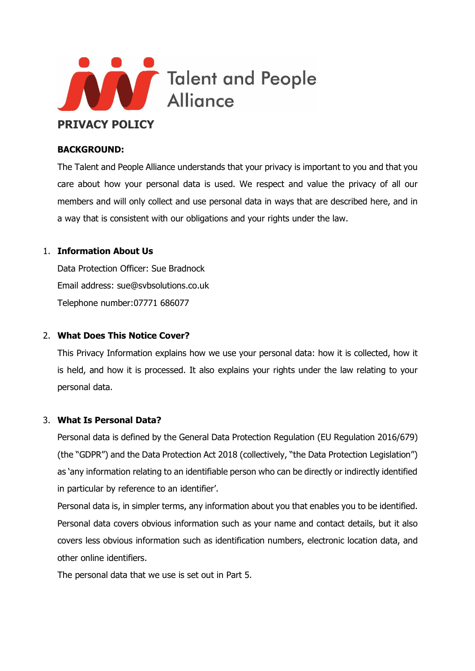

#### **BACKGROUND:**

The Talent and People Alliance understands that your privacy is important to you and that you care about how your personal data is used. We respect and value the privacy of all our members and will only collect and use personal data in ways that are described here, and in a way that is consistent with our obligations and your rights under the law.

#### 1. **Information About Us**

Data Protection Officer: Sue Bradnock Email address: sue@svbsolutions.co.uk Telephone number:07771 686077

#### 2. **What Does This Notice Cover?**

This Privacy Information explains how we use your personal data: how it is collected, how it is held, and how it is processed. It also explains your rights under the law relating to your personal data.

#### 3. **What Is Personal Data?**

Personal data is defined by the General Data Protection Regulation (EU Regulation 2016/679) (the "GDPR") and the Data Protection Act 2018 (collectively, "the Data Protection Legislation") as 'any information relating to an identifiable person who can be directly or indirectly identified in particular by reference to an identifier'.

Personal data is, in simpler terms, any information about you that enables you to be identified. Personal data covers obvious information such as your name and contact details, but it also covers less obvious information such as identification numbers, electronic location data, and other online identifiers.

The personal data that we use is set out in Part 5.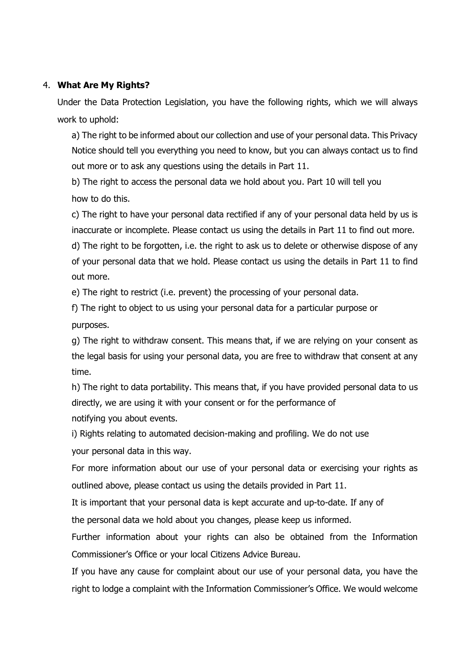#### 4. **What Are My Rights?**

Under the Data Protection Legislation, you have the following rights, which we will always work to uphold:

a) The right to be informed about our collection and use of your personal data. This Privacy Notice should tell you everything you need to know, but you can always contact us to find out more or to ask any questions using the details in Part 11.

b) The right to access the personal data we hold about you. Part 10 will tell you how to do this.

c) The right to have your personal data rectified if any of your personal data held by us is inaccurate or incomplete. Please contact us using the details in Part 11 to find out more.

d) The right to be forgotten, i.e. the right to ask us to delete or otherwise dispose of any of your personal data that we hold. Please contact us using the details in Part 11 to find out more.

e) The right to restrict (i.e. prevent) the processing of your personal data.

f) The right to object to us using your personal data for a particular purpose or purposes.

g) The right to withdraw consent. This means that, if we are relying on your consent as the legal basis for using your personal data, you are free to withdraw that consent at any time.

h) The right to data portability. This means that, if you have provided personal data to us directly, we are using it with your consent or for the performance of notifying you about events.

i) Rights relating to automated decision-making and profiling. We do not use

your personal data in this way.

For more information about our use of your personal data or exercising your rights as outlined above, please contact us using the details provided in Part 11.

It is important that your personal data is kept accurate and up-to-date. If any of

the personal data we hold about you changes, please keep us informed.

Further information about your rights can also be obtained from the Information Commissioner's Office or your local Citizens Advice Bureau.

If you have any cause for complaint about our use of your personal data, you have the right to lodge a complaint with the Information Commissioner's Office. We would welcome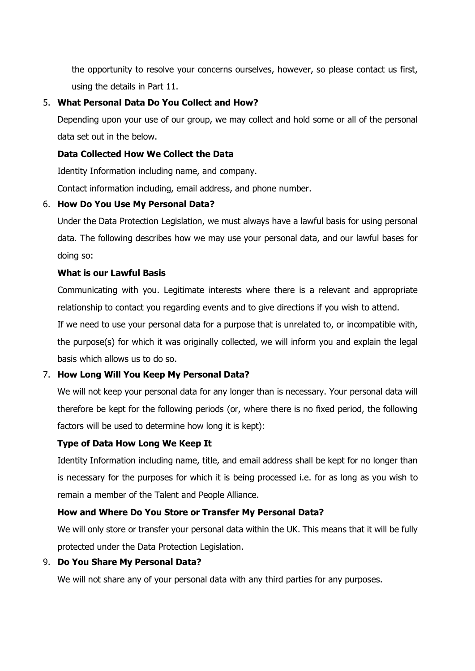the opportunity to resolve your concerns ourselves, however, so please contact us first, using the details in Part 11.

### 5. **What Personal Data Do You Collect and How?**

Depending upon your use of our group, we may collect and hold some or all of the personal data set out in the below.

### **Data Collected How We Collect the Data**

Identity Information including name, and company.

Contact information including, email address, and phone number.

## 6. **How Do You Use My Personal Data?**

Under the Data Protection Legislation, we must always have a lawful basis for using personal data. The following describes how we may use your personal data, and our lawful bases for doing so:

## **What is our Lawful Basis**

Communicating with you. Legitimate interests where there is a relevant and appropriate relationship to contact you regarding events and to give directions if you wish to attend.

If we need to use your personal data for a purpose that is unrelated to, or incompatible with, the purpose(s) for which it was originally collected, we will inform you and explain the legal basis which allows us to do so.

# 7. **How Long Will You Keep My Personal Data?**

We will not keep your personal data for any longer than is necessary. Your personal data will therefore be kept for the following periods (or, where there is no fixed period, the following factors will be used to determine how long it is kept):

# **Type of Data How Long We Keep It**

Identity Information including name, title, and email address shall be kept for no longer than is necessary for the purposes for which it is being processed i.e. for as long as you wish to remain a member of the Talent and People Alliance.

# **How and Where Do You Store or Transfer My Personal Data?**

We will only store or transfer your personal data within the UK. This means that it will be fully protected under the Data Protection Legislation.

#### 9. **Do You Share My Personal Data?**

We will not share any of your personal data with any third parties for any purposes.